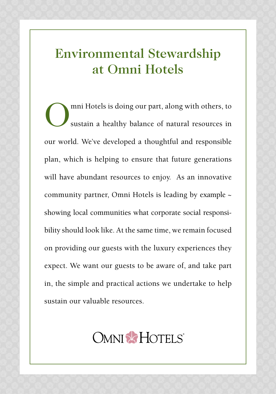# Environmental Stewardship at Omni Hotels

Omni Hotels is doing our part, along with others, to<br>sustain a healthy balance of natural resources in sustain a healthy balance of natural resources in our world. We've developed a thoughtful and responsible plan, which is helping to ensure that future generations will have abundant resources to enjoy. As an innovative community partner, Omni Hotels is leading by example ~ showing local communities what corporate social responsibility should look like. At the same time, we remain focused on providing our guests with the luxury experiences they expect. We want our guests to be aware of, and take part in, the simple and practical actions we undertake to help sustain our valuable resources.

# **OMNI & HOTELS**